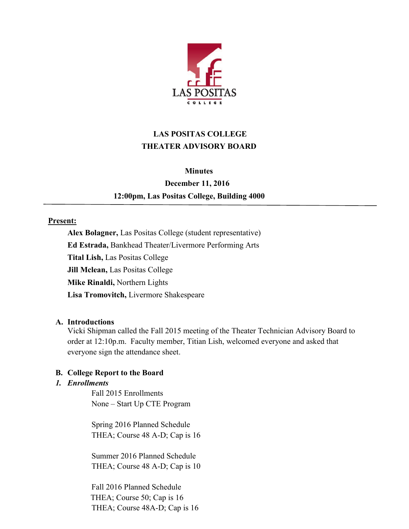

# **LAS POSITAS COLLEGE THEATER ADVISORY BOARD**

#### **Minutes**

# **December 11, 2016 12:00pm, Las Positas College, Building 4000**

## **Present:**

**Alex Bolagner,** Las Positas College (student representative) **Ed Estrada,** Bankhead Theater/Livermore Performing Arts **Tital Lish,** Las Positas College **Jill Mclean,** Las Positas College **Mike Rinaldi,** Northern Lights **Lisa Tromovitch,** Livermore Shakespeare

## **A. Introductions**

Vicki Shipman called the Fall 2015 meeting of the Theater Technician Advisory Board to order at 12:10p.m. Faculty member, Titian Lish, welcomed everyone and asked that everyone sign the attendance sheet.

## **B. College Report to the Board**

## *1. Enrollments*

Fall 2015 Enrollments None – Start Up CTE Program

Spring 2016 Planned Schedule THEA; Course 48 A-D; Cap is 16

Summer 2016 Planned Schedule THEA; Course 48 A-D; Cap is 10

Fall 2016 Planned Schedule THEA; Course 50; Cap is 16 THEA; Course 48A-D; Cap is 16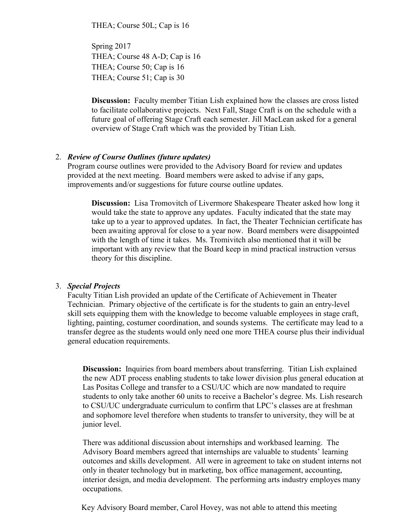THEA; Course 50L; Cap is 16

Spring 2017 THEA; Course 48 A-D; Cap is 16 THEA; Course 50; Cap is 16 THEA; Course 51; Cap is 30

**Discussion:** Faculty member Titian Lish explained how the classes are cross listed to facilitate collaborative projects. Next Fall, Stage Craft is on the schedule with a future goal of offering Stage Craft each semester. Jill MacLean asked for a general overview of Stage Craft which was the provided by Titian Lish.

#### 2. *Review of Course Outlines (future updates)*

Program course outlines were provided to the Advisory Board for review and updates provided at the next meeting. Board members were asked to advise if any gaps, improvements and/or suggestions for future course outline updates.

 **Discussion:** Lisa Tromovitch of Livermore Shakespeare Theater asked how long it would take the state to approve any updates. Faculty indicated that the state may take up to a year to approved updates. In fact, the Theater Technician certificate has been awaiting approval for close to a year now. Board members were disappointed with the length of time it takes. Ms. Tromivitch also mentioned that it will be important with any review that the Board keep in mind practical instruction versus theory for this discipline.

#### 3. *Special Projects*

Faculty Titian Lish provided an update of the Certificate of Achievement in Theater Technician. Primary objective of the certificate is for the students to gain an entry-level skill sets equipping them with the knowledge to become valuable employees in stage craft, lighting, painting, costumer coordination, and sounds systems. The certificate may lead to a transfer degree as the students would only need one more THEA course plus their individual general education requirements.

**Discussion:** Inquiries from board members about transferring. Titian Lish explained the new ADT process enabling students to take lower division plus general education at Las Positas College and transfer to a CSU/UC which are now mandated to require students to only take another 60 units to receive a Bachelor's degree. Ms. Lish research to CSU/UC undergraduate curriculum to confirm that LPC's classes are at freshman and sophomore level therefore when students to transfer to university, they will be at junior level.

There was additional discussion about internships and workbased learning. The Advisory Board members agreed that internships are valuable to students' learning outcomes and skills development. All were in agreement to take on student interns not only in theater technology but in marketing, box office management, accounting, interior design, and media development. The performing arts industry employes many occupations.

Key Advisory Board member, Carol Hovey, was not able to attend this meeting